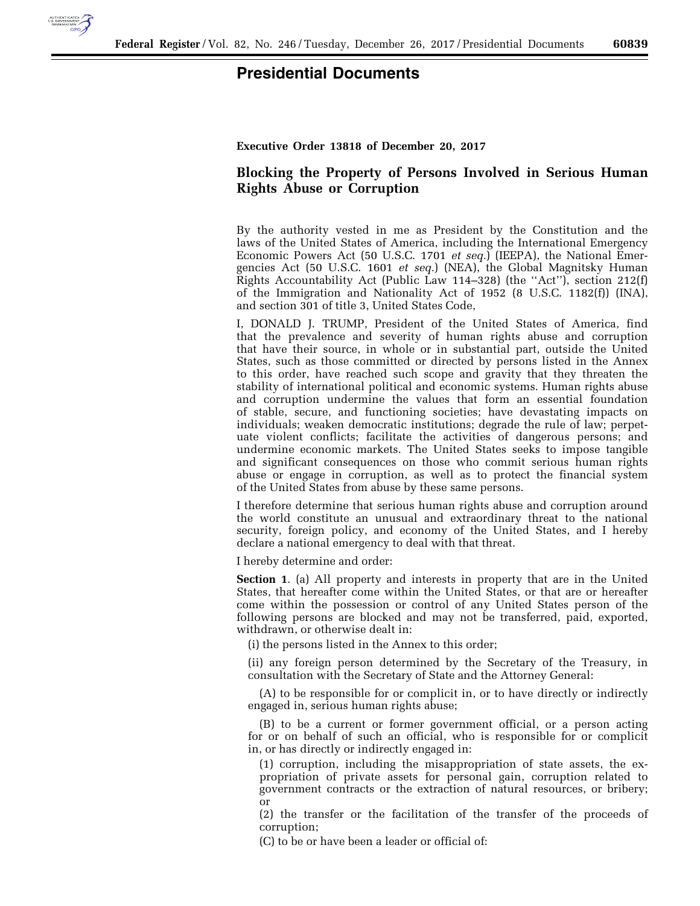

## **Presidential Documents**

**Executive Order 13818 of December 20, 2017** 

## **Blocking the Property of Persons Involved in Serious Human Rights Abuse or Corruption**

By the authority vested in me as President by the Constitution and the laws of the United States of America, including the International Emergency Economic Powers Act (50 U.S.C. 1701 *et seq.*) (IEEPA), the National Emergencies Act (50 U.S.C. 1601 *et seq.*) (NEA), the Global Magnitsky Human Rights Accountability Act (Public Law 114–328) (the ''Act''), section 212(f) of the Immigration and Nationality Act of 1952 (8 U.S.C. 1182(f)) (INA), and section 301 of title 3, United States Code,

I, DONALD J. TRUMP, President of the United States of America, find that the prevalence and severity of human rights abuse and corruption that have their source, in whole or in substantial part, outside the United States, such as those committed or directed by persons listed in the Annex to this order, have reached such scope and gravity that they threaten the stability of international political and economic systems. Human rights abuse and corruption undermine the values that form an essential foundation of stable, secure, and functioning societies; have devastating impacts on individuals; weaken democratic institutions; degrade the rule of law; perpetuate violent conflicts; facilitate the activities of dangerous persons; and undermine economic markets. The United States seeks to impose tangible and significant consequences on those who commit serious human rights abuse or engage in corruption, as well as to protect the financial system of the United States from abuse by these same persons.

I therefore determine that serious human rights abuse and corruption around the world constitute an unusual and extraordinary threat to the national security, foreign policy, and economy of the United States, and I hereby declare a national emergency to deal with that threat.

I hereby determine and order:

**Section 1**. (a) All property and interests in property that are in the United States, that hereafter come within the United States, or that are or hereafter come within the possession or control of any United States person of the following persons are blocked and may not be transferred, paid, exported, withdrawn, or otherwise dealt in:

(i) the persons listed in the Annex to this order;

(ii) any foreign person determined by the Secretary of the Treasury, in consultation with the Secretary of State and the Attorney General:

(A) to be responsible for or complicit in, or to have directly or indirectly engaged in, serious human rights abuse;

(B) to be a current or former government official, or a person acting for or on behalf of such an official, who is responsible for or complicit in, or has directly or indirectly engaged in:

(1) corruption, including the misappropriation of state assets, the expropriation of private assets for personal gain, corruption related to government contracts or the extraction of natural resources, or bribery; or

(2) the transfer or the facilitation of the transfer of the proceeds of corruption;

(C) to be or have been a leader or official of: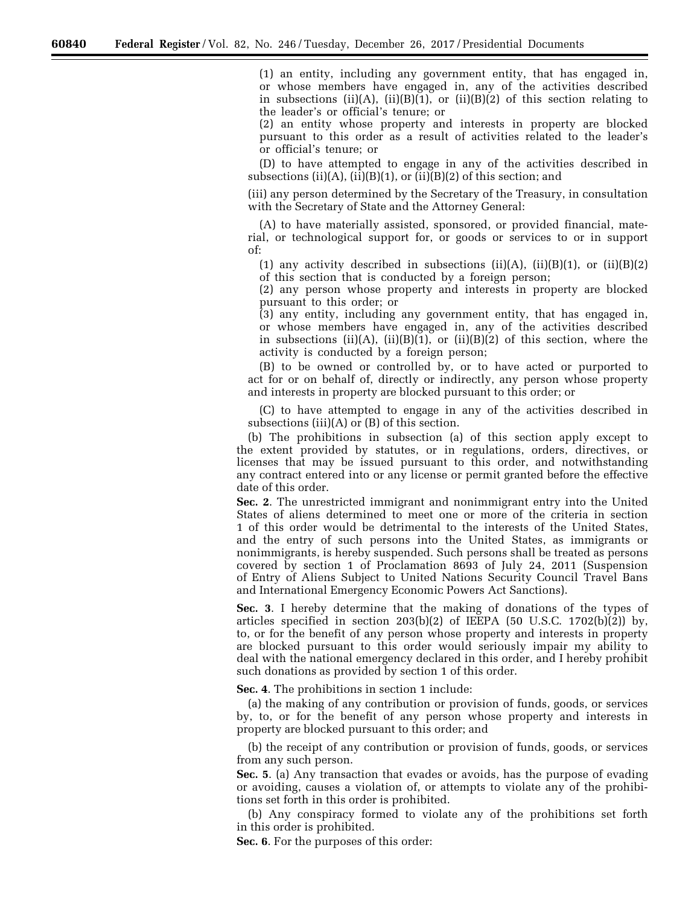(1) an entity, including any government entity, that has engaged in, or whose members have engaged in, any of the activities described in subsections (ii)(A), (ii)(B)(1), or (ii)(B)(2) of this section relating to the leader's or official's tenure; or

(2) an entity whose property and interests in property are blocked pursuant to this order as a result of activities related to the leader's or official's tenure; or

(D) to have attempted to engage in any of the activities described in subsections  $(ii)(A)$ ,  $(ii)(B)(1)$ , or  $(ii)(B)(2)$  of this section; and

(iii) any person determined by the Secretary of the Treasury, in consultation with the Secretary of State and the Attorney General:

(A) to have materially assisted, sponsored, or provided financial, material, or technological support for, or goods or services to or in support of:

(1) any activity described in subsections (ii)(A), (ii)(B)(1), or (ii)(B)(2) of this section that is conducted by a foreign person;

(2) any person whose property and interests in property are blocked pursuant to this order; or

(3) any entity, including any government entity, that has engaged in, or whose members have engaged in, any of the activities described in subsections (ii)(A), (ii)(B)(1), or (ii)(B)(2) of this section, where the activity is conducted by a foreign person;

(B) to be owned or controlled by, or to have acted or purported to act for or on behalf of, directly or indirectly, any person whose property and interests in property are blocked pursuant to this order; or

(C) to have attempted to engage in any of the activities described in subsections (iii)(A) or (B) of this section.

(b) The prohibitions in subsection (a) of this section apply except to the extent provided by statutes, or in regulations, orders, directives, or licenses that may be issued pursuant to this order, and notwithstanding any contract entered into or any license or permit granted before the effective date of this order.

**Sec. 2**. The unrestricted immigrant and nonimmigrant entry into the United States of aliens determined to meet one or more of the criteria in section 1 of this order would be detrimental to the interests of the United States, and the entry of such persons into the United States, as immigrants or nonimmigrants, is hereby suspended. Such persons shall be treated as persons covered by section 1 of Proclamation 8693 of July 24, 2011 (Suspension of Entry of Aliens Subject to United Nations Security Council Travel Bans and International Emergency Economic Powers Act Sanctions).

**Sec. 3**. I hereby determine that the making of donations of the types of articles specified in section 203(b)(2) of IEEPA (50 U.S.C. 1702(b)(2)) by, to, or for the benefit of any person whose property and interests in property are blocked pursuant to this order would seriously impair my ability to deal with the national emergency declared in this order, and I hereby prohibit such donations as provided by section 1 of this order.

**Sec. 4**. The prohibitions in section 1 include:

(a) the making of any contribution or provision of funds, goods, or services by, to, or for the benefit of any person whose property and interests in property are blocked pursuant to this order; and

(b) the receipt of any contribution or provision of funds, goods, or services from any such person.

**Sec. 5**. (a) Any transaction that evades or avoids, has the purpose of evading or avoiding, causes a violation of, or attempts to violate any of the prohibitions set forth in this order is prohibited.

(b) Any conspiracy formed to violate any of the prohibitions set forth in this order is prohibited.

**Sec. 6**. For the purposes of this order: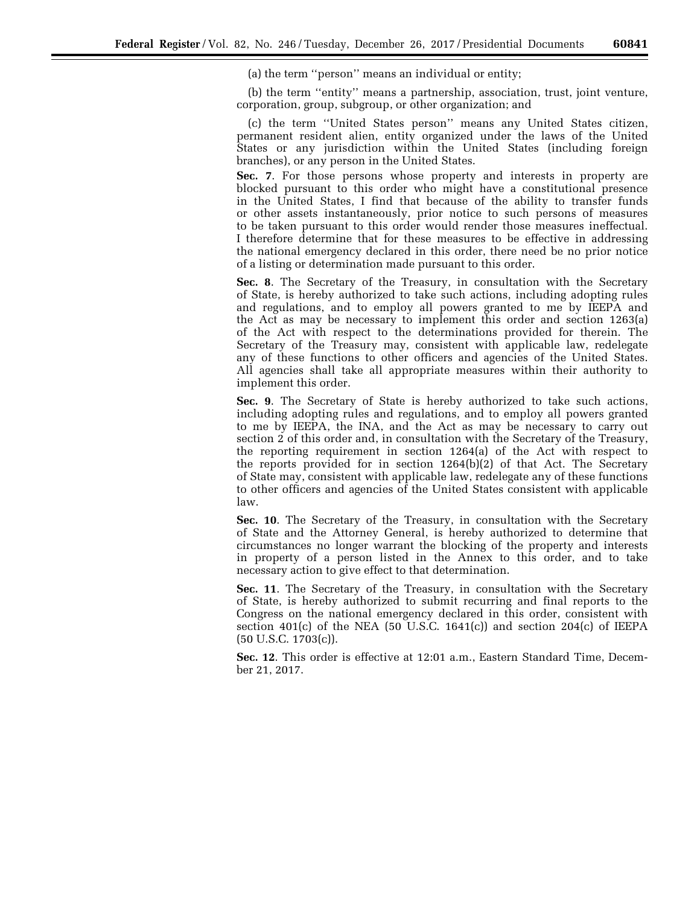(a) the term ''person'' means an individual or entity;

(b) the term ''entity'' means a partnership, association, trust, joint venture, corporation, group, subgroup, or other organization; and

(c) the term ''United States person'' means any United States citizen, permanent resident alien, entity organized under the laws of the United States or any jurisdiction within the United States (including foreign branches), or any person in the United States.

**Sec. 7**. For those persons whose property and interests in property are blocked pursuant to this order who might have a constitutional presence in the United States, I find that because of the ability to transfer funds or other assets instantaneously, prior notice to such persons of measures to be taken pursuant to this order would render those measures ineffectual. I therefore determine that for these measures to be effective in addressing the national emergency declared in this order, there need be no prior notice of a listing or determination made pursuant to this order.

**Sec. 8**. The Secretary of the Treasury, in consultation with the Secretary of State, is hereby authorized to take such actions, including adopting rules and regulations, and to employ all powers granted to me by IEEPA and the Act as may be necessary to implement this order and section 1263(a) of the Act with respect to the determinations provided for therein. The Secretary of the Treasury may, consistent with applicable law, redelegate any of these functions to other officers and agencies of the United States. All agencies shall take all appropriate measures within their authority to implement this order.

**Sec. 9**. The Secretary of State is hereby authorized to take such actions, including adopting rules and regulations, and to employ all powers granted to me by IEEPA, the INA, and the Act as may be necessary to carry out section 2 of this order and, in consultation with the Secretary of the Treasury, the reporting requirement in section 1264(a) of the Act with respect to the reports provided for in section  $1264(b)(2)$  of that Act. The Secretary of State may, consistent with applicable law, redelegate any of these functions to other officers and agencies of the United States consistent with applicable law.

**Sec. 10**. The Secretary of the Treasury, in consultation with the Secretary of State and the Attorney General, is hereby authorized to determine that circumstances no longer warrant the blocking of the property and interests in property of a person listed in the Annex to this order, and to take necessary action to give effect to that determination.

**Sec. 11**. The Secretary of the Treasury, in consultation with the Secretary of State, is hereby authorized to submit recurring and final reports to the Congress on the national emergency declared in this order, consistent with section 401(c) of the NEA (50 U.S.C. 1641(c)) and section 204(c) of IEEPA (50 U.S.C. 1703(c)).

**Sec. 12**. This order is effective at 12:01 a.m., Eastern Standard Time, December 21, 2017.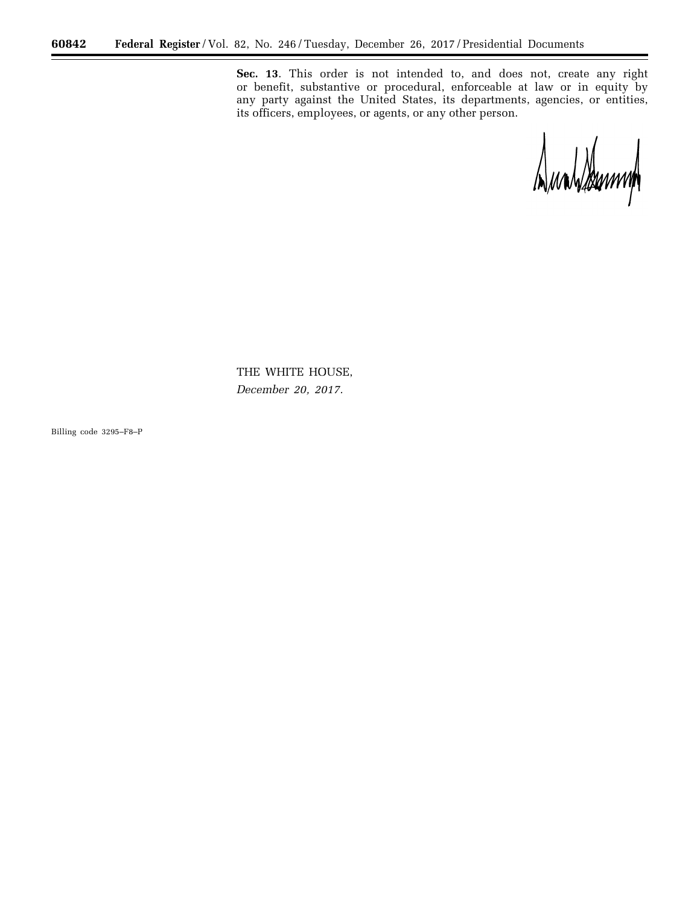**Sec. 13**. This order is not intended to, and does not, create any right or benefit, substantive or procedural, enforceable at law or in equity by any party against the United States, its departments, agencies, or entities, its officers, employees, or agents, or any other person.

Duablomm

THE WHITE HOUSE, *December 20, 2017.* 

Billing code 3295–F8–P

۳